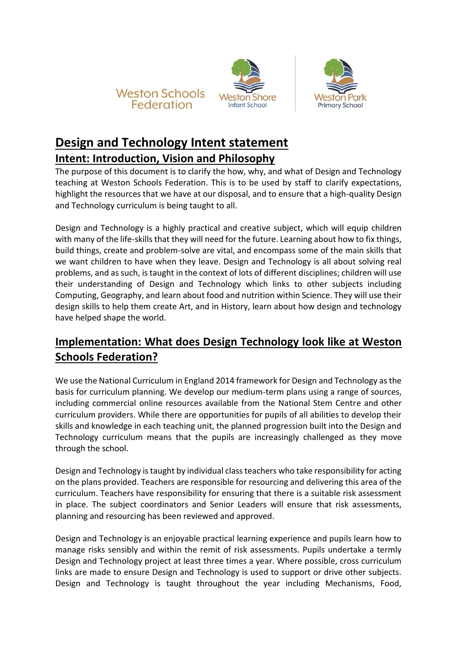





# **Design and Technology Intent statement**

#### **Intent: Introduction, Vision and Philosophy**

The purpose of this document is to clarify the how, why, and what of Design and Technology teaching at Weston Schools Federation. This is to be used by staff to clarify expectations, highlight the resources that we have at our disposal, and to ensure that a high-quality Design and Technology curriculum is being taught to all.

Design and Technology is a highly practical and creative subject, which will equip children with many of the life-skills that they will need for the future. Learning about how to fix things, build things, create and problem-solve are vital, and encompass some of the main skills that we want children to have when they leave. Design and Technology is all about solving real problems, and as such, is taught in the context of lots of different disciplines; children will use their understanding of Design and Technology which links to other subjects including Computing, Geography, and learn about food and nutrition within Science. They will use their design skills to help them create Art, and in History, learn about how design and technology have helped shape the world.

### **Implementation: What does Design Technology look like at Weston Schools Federation?**

We use the National Curriculum in England 2014 framework for Design and Technology as the basis for curriculum planning. We develop our medium-term plans using a range of sources, including commercial online resources available from the National Stem Centre and other curriculum providers. While there are opportunities for pupils of all abilities to develop their skills and knowledge in each teaching unit, the planned progression built into the Design and Technology curriculum means that the pupils are increasingly challenged as they move through the school.

Design and Technology is taught by individual class teachers who take responsibility for acting on the plans provided. Teachers are responsible for resourcing and delivering this area of the curriculum. Teachers have responsibility for ensuring that there is a suitable risk assessment in place. The subject coordinators and Senior Leaders will ensure that risk assessments, planning and resourcing has been reviewed and approved.

Design and Technology is an enjoyable practical learning experience and pupils learn how to manage risks sensibly and within the remit of risk assessments. Pupils undertake a termly Design and Technology project at least three times a year. Where possible, cross curriculum links are made to ensure Design and Technology is used to support or drive other subjects. Design and Technology is taught throughout the year including Mechanisms, Food,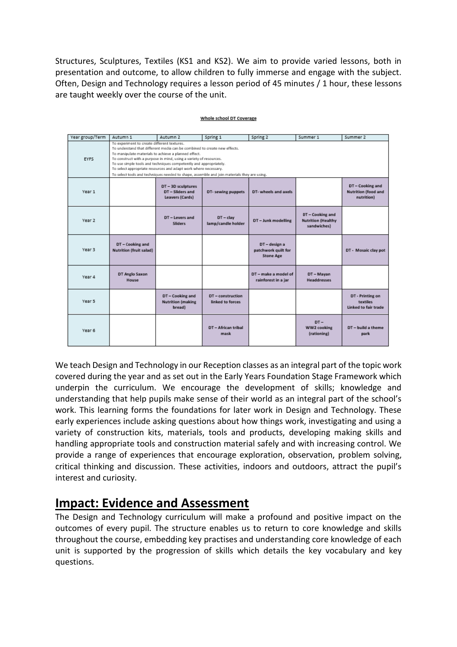Structures, Sculptures, Textiles (KS1 and KS2). We aim to provide varied lessons, both in presentation and outcome, to allow children to fully immerse and engage with the subject. Often, Design and Technology requires a lesson period of 45 minutes / 1 hour, these lessons are taught weekly over the course of the unit.

| Year group/Term | Autumn 1                                                                                                                                                                                                                                                                                                                                                                                                                                                                                      | Autumn 2                                                         | Spring 1                              | Spring 2                                                 | Summer 1                                                     | Summer 2                                                    |
|-----------------|-----------------------------------------------------------------------------------------------------------------------------------------------------------------------------------------------------------------------------------------------------------------------------------------------------------------------------------------------------------------------------------------------------------------------------------------------------------------------------------------------|------------------------------------------------------------------|---------------------------------------|----------------------------------------------------------|--------------------------------------------------------------|-------------------------------------------------------------|
| <b>EYFS</b>     | To experiment to create different textures.<br>To understand that different media can be combined to create new effects.<br>To manipulate materials to achieve a planned effect.<br>To construct with a purpose in mind, using a variety of resources.<br>To use simple tools and techniques competently and appropriately.<br>To select appropriate resources and adapt work where necessary.<br>To select tools and techniques needed to shape, assemble and join materials they are using. |                                                                  |                                       |                                                          |                                                              |                                                             |
| Year 1          |                                                                                                                                                                                                                                                                                                                                                                                                                                                                                               | DT - 3D sculptures<br>DT - Sliders and<br><b>Leavers (Cards)</b> | DT- sewing puppets                    | DT-wheels and axels                                      |                                                              | DT-Cooking and<br>Nutrition (food and<br>nutrition)         |
| Year 2          |                                                                                                                                                                                                                                                                                                                                                                                                                                                                                               | DT-Levers and<br><b>Sliders</b>                                  | $DT - clay$<br>lamp/candle holder     | DT - Junk modelling                                      | DT - Cooking and<br><b>Nutrition (Healthy</b><br>sandwiches) |                                                             |
| Year 3          | DT - Cooking and<br>Nutrition (fruit salad)                                                                                                                                                                                                                                                                                                                                                                                                                                                   |                                                                  |                                       | DT - design a<br>patchwork quilt for<br><b>Stone Age</b> |                                                              | DT - Mosaic clay pot                                        |
| Year 4          | DT Anglo Saxon<br><b>House</b>                                                                                                                                                                                                                                                                                                                                                                                                                                                                |                                                                  |                                       | DT - make a model of<br>rainforest in a jar              | DT-Mayan<br><b>Headdresses</b>                               |                                                             |
| Year 5          |                                                                                                                                                                                                                                                                                                                                                                                                                                                                                               | DT-Cooking and<br><b>Nutrition (making</b><br>bread)             | DT - construction<br>linked to forces |                                                          |                                                              | DT - Printing on<br>textiles<br><b>Linked to fair trade</b> |
| Year 6          |                                                                                                                                                                                                                                                                                                                                                                                                                                                                                               |                                                                  | DT-African tribal<br>mask             |                                                          | $DT -$<br>WW2 cooking<br>(rationing)                         | DT - build a theme<br>park                                  |

#### Whole school DT Coverage

We teach Design and Technology in our Reception classes as an integral part of the topic work covered during the year and as set out in the Early Years Foundation Stage Framework which underpin the curriculum. We encourage the development of skills; knowledge and understanding that help pupils make sense of their world as an integral part of the school's work. This learning forms the foundations for later work in Design and Technology. These early experiences include asking questions about how things work, investigating and using a variety of construction kits, materials, tools and products, developing making skills and handling appropriate tools and construction material safely and with increasing control. We provide a range of experiences that encourage exploration, observation, problem solving, critical thinking and discussion. These activities, indoors and outdoors, attract the pupil's interest and curiosity.

## **Impact: Evidence and Assessment**

The Design and Technology curriculum will make a profound and positive impact on the outcomes of every pupil. The structure enables us to return to core knowledge and skills throughout the course, embedding key practises and understanding core knowledge of each unit is supported by the progression of skills which details the key vocabulary and key questions.